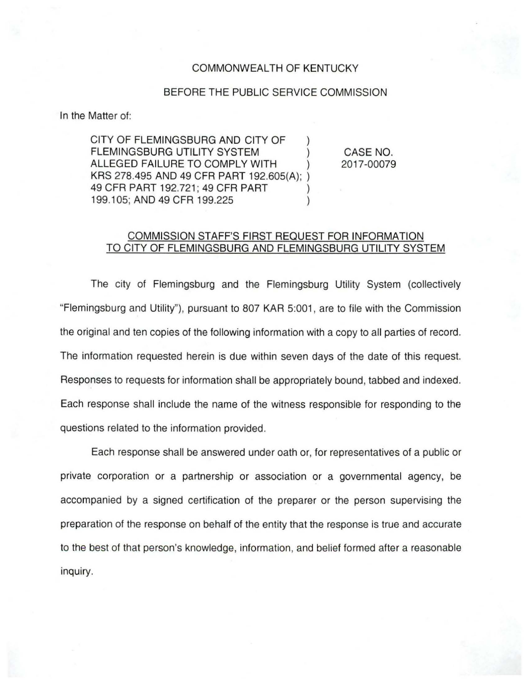## COMMONWEALTH OF KENTUCKY

## BEFORE THE PUBLIC SERVICE COMMISSION

In the Matter of:

CITY OF FLEMINGSBURG AND CITY OF FLEMINGSBURG UTILITY SYSTEM ALLEGED FAILURE TO COMPLY WITH KRS 278.495 AND 49 CFR PART 192.605(A); ) 49 CFR PART 192.721; 49 CFR PART 199.105; AND 49 CFR 199.225

CASE NO. 2017-00079

## COMMISSION STAFF'S FIRST REQUEST FOR INFORMATION TO CITY OF FLEMINGSBURG AND FLEMINGSBURG UTILITY SYSTEM

The city of Flemingsburg and the Flemingsburg Utility System (collectively "Flemingsburg and Utility"), pursuant to 807 KAR 5:001, are to file with the Commission the original and ten copies of the following information with a copy to all parties of record. The information requested herein is due within seven days of the date of this request. Responses to requests for information shall be appropriately bound, tabbed and indexed. Each response shall include the name of the witness responsible for responding to the questions related to the information provided .

Each response shall be answered under oath or, for representatives of a public or private corporation or a partnership or association or a governmental agency, be accompanied by a signed certification of the preparer or the person supervising the preparation of the response on behalf of the entity that the response is true and accurate to the best of that person's knowledge, information, and belief formed after a reasonable inquiry.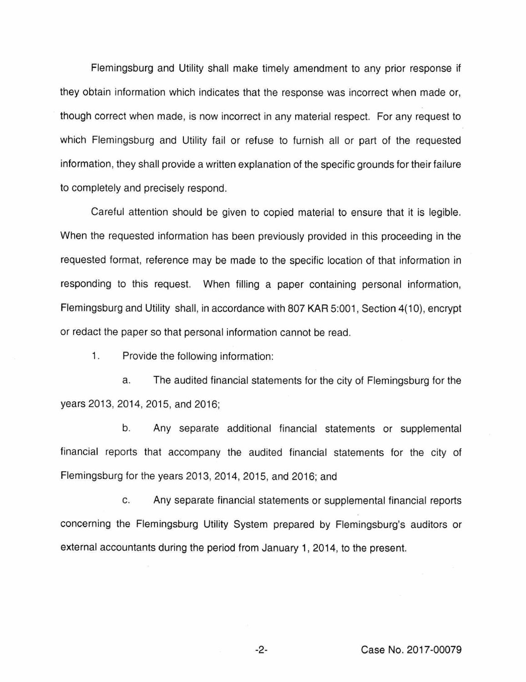Flemingsburg and Utility shall make timely amendment to any prior response if they obtain information which indicates that the response was incorrect when made or, though correct when made, is now incorrect in any material respect. For any request to which Flemingsburg and Utility fail or refuse to furnish all or part of the requested information, they shall provide a written explanation of the specific grounds for their failure to completely and precisely respond.

Careful attention should be given to copied material to ensure that it is legible. When the requested information has been previously provided in this proceeding in the requested format, reference may be made to the specific location of that information in responding to this request. When filling a paper containing personal information, Flemingsburg and Utility shall, in accordance with 807 KAR 5:001, Section 4(10), encrypt or redact the paper so that personal information cannot be read.

1. Provide the following information:

a. The audited financial statements for the city of Flemingsburg for the years 2013, 2014, 2015, and 2016;

b. Any separate additional financial statements or supplemental financial reports that accompany the audited financial statements for the city of Flemingsburg for the years 2013, 2014, 2015, and 2016; and

c. Any separate financial statements or supplemental financial reports concerning the Flemingsburg Utility System prepared by Flemingsburg's auditors or external accountants during the period from January 1, 2014, to the present.

-2- Case No. 2017-00079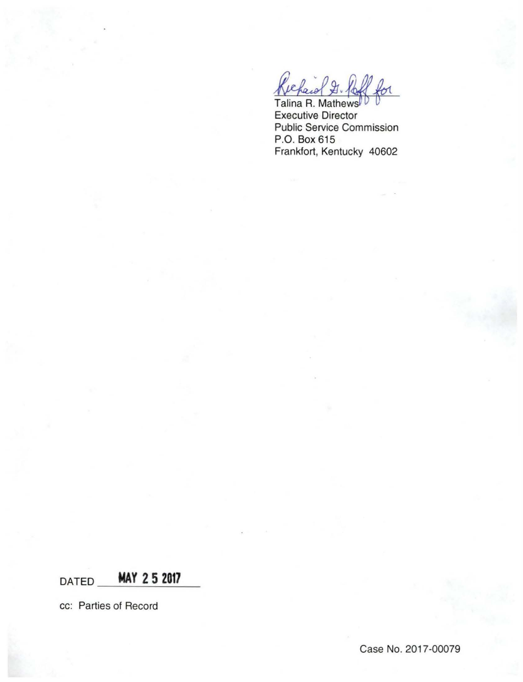Talina R. Mathew Executive Director Public Service Commission P.O. Box 615 Frankfort, Kentucky 40602

DATED \_\_\_ MAY 2 5 2017

cc: Parties of Record